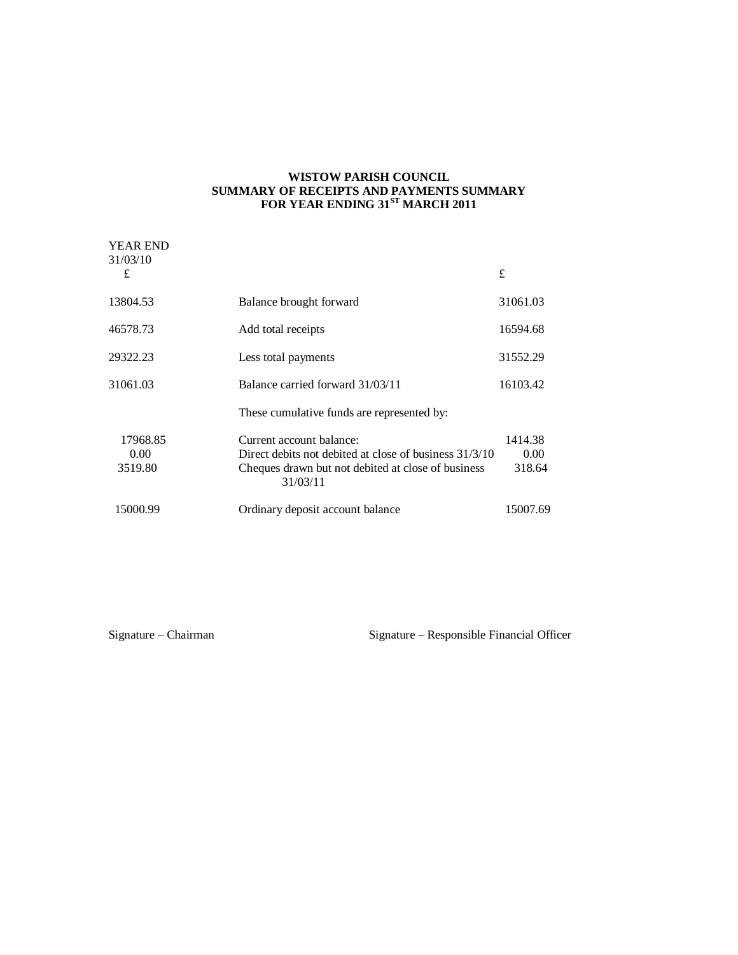### **WISTOW PARISH COUNCIL SUMMARY OF RECEIPTS AND PAYMENTS SUMMARY FOR YEAR ENDING 31ST MARCH 2011**

| <b>YEAR END</b><br>31/03/10 |                                                                                                                                                      |                           |
|-----------------------------|------------------------------------------------------------------------------------------------------------------------------------------------------|---------------------------|
| £                           |                                                                                                                                                      | £                         |
| 13804.53                    | Balance brought forward                                                                                                                              | 31061.03                  |
| 46578.73                    | Add total receipts                                                                                                                                   | 16594.68                  |
| 29322.23                    | Less total payments                                                                                                                                  | 31552.29                  |
| 31061.03                    | Balance carried forward 31/03/11                                                                                                                     | 16103.42                  |
|                             | These cumulative funds are represented by:                                                                                                           |                           |
| 17968.85<br>0.00<br>3519.80 | Current account balance:<br>Direct debits not debited at close of business 31/3/10<br>Cheques drawn but not debited at close of business<br>31/03/11 | 1414.38<br>0.00<br>318.64 |
| 15000.99                    | Ordinary deposit account balance                                                                                                                     | 15007.69                  |

Signature – Chairman Signature – Responsible Financial Officer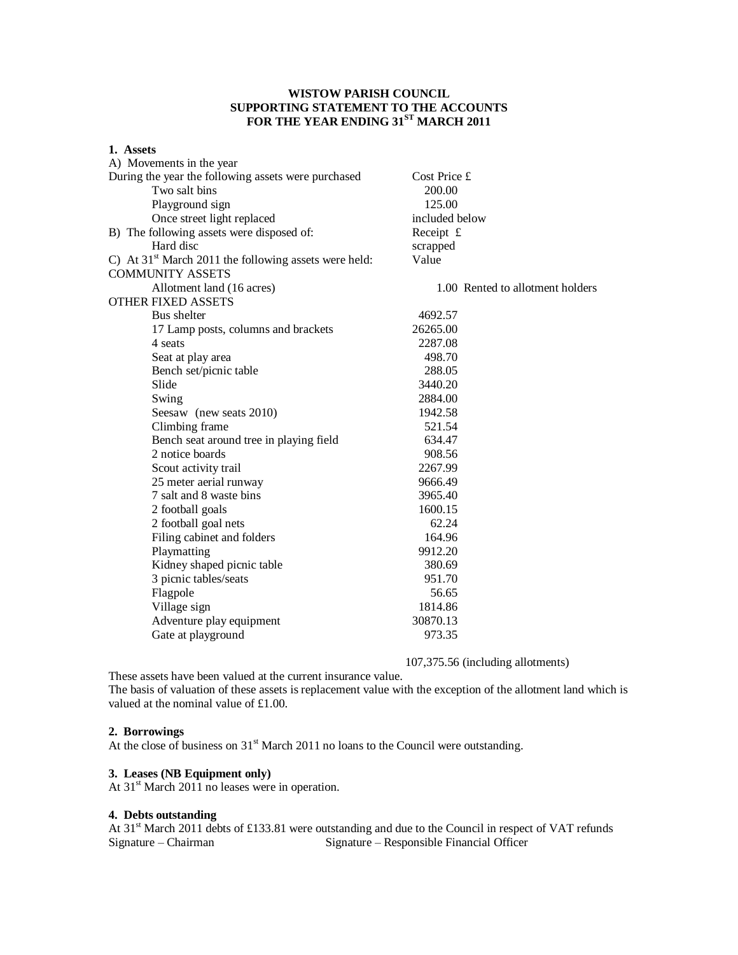# **WISTOW PARISH COUNCIL SUPPORTING STATEMENT TO THE ACCOUNTS FOR THE YEAR ENDING 31ST MARCH 2011**

| 1. Assets                                               |                                  |  |
|---------------------------------------------------------|----------------------------------|--|
| A) Movements in the year                                |                                  |  |
| During the year the following assets were purchased     | Cost Price £                     |  |
| Two salt bins                                           | 200.00                           |  |
| Playground sign                                         | 125.00                           |  |
| Once street light replaced                              | included below                   |  |
| B) The following assets were disposed of:               | Receipt $f$                      |  |
| Hard disc                                               | scrapped                         |  |
| C) At $31st$ March 2011 the following assets were held: | Value                            |  |
| <b>COMMUNITY ASSETS</b>                                 |                                  |  |
| Allotment land (16 acres)                               | 1.00 Rented to allotment holders |  |
| <b>OTHER FIXED ASSETS</b>                               |                                  |  |
| Bus shelter                                             | 4692.57                          |  |
| 17 Lamp posts, columns and brackets                     | 26265.00                         |  |
| 4 seats                                                 | 2287.08                          |  |
| Seat at play area                                       | 498.70                           |  |
| Bench set/picnic table                                  | 288.05                           |  |
| Slide                                                   | 3440.20                          |  |
| Swing                                                   | 2884.00                          |  |
| Seesaw (new seats 2010)                                 | 1942.58                          |  |
| Climbing frame                                          | 521.54                           |  |
| Bench seat around tree in playing field                 | 634.47                           |  |
| 2 notice boards                                         | 908.56                           |  |
| Scout activity trail                                    | 2267.99                          |  |
| 25 meter aerial runway                                  | 9666.49                          |  |
| 7 salt and 8 waste bins                                 | 3965.40                          |  |
| 2 football goals                                        | 1600.15                          |  |
| 2 football goal nets                                    | 62.24                            |  |
| Filing cabinet and folders                              | 164.96                           |  |
| Playmatting                                             | 9912.20                          |  |
| Kidney shaped picnic table                              | 380.69                           |  |
| 3 picnic tables/seats                                   | 951.70                           |  |
| Flagpole                                                | 56.65                            |  |
| Village sign                                            | 1814.86                          |  |
| Adventure play equipment                                | 30870.13                         |  |
| Gate at playground                                      | 973.35                           |  |
|                                                         |                                  |  |

107,375.56 (including allotments)

These assets have been valued at the current insurance value.

The basis of valuation of these assets is replacement value with the exception of the allotment land which is valued at the nominal value of £1.00.

### **2. Borrowings**

At the close of business on 31<sup>st</sup> March 2011 no loans to the Council were outstanding.

## **3. Leases (NB Equipment only)**

At  $31<sup>st</sup>$  March 2011 no leases were in operation.

#### **4. Debts outstanding**

At 31<sup>st</sup> March 2011 debts of £133.81 were outstanding and due to the Council in respect of VAT refunds<br>Signature – Chairman Signature – Responsible Financial Officer Signature – Responsible Financial Officer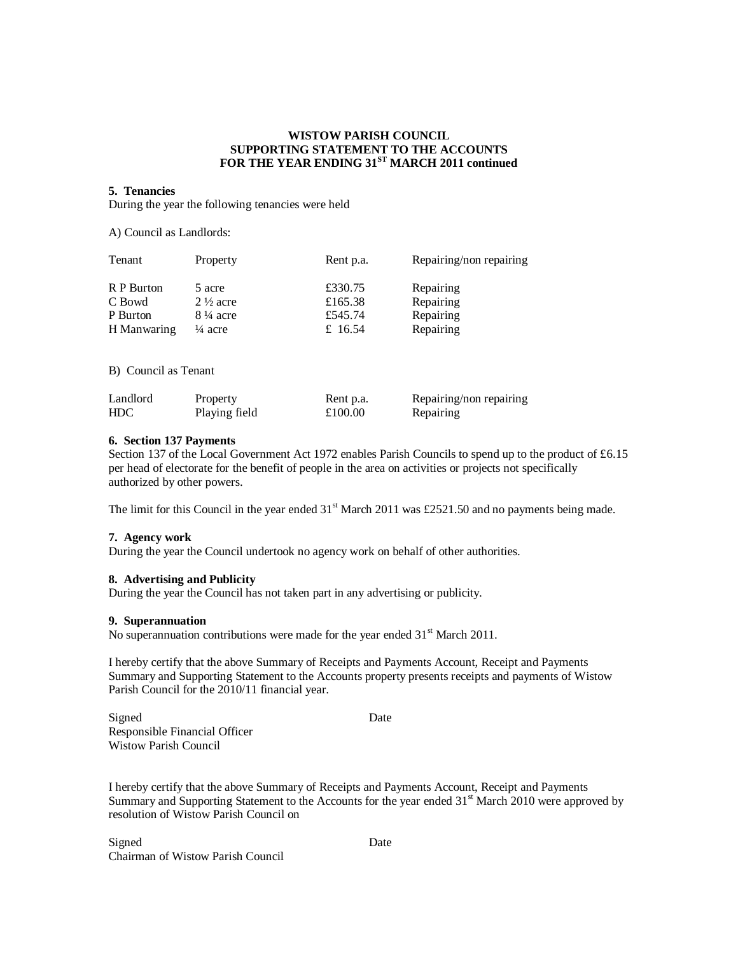## **WISTOW PARISH COUNCIL SUPPORTING STATEMENT TO THE ACCOUNTS FOR THE YEAR ENDING 31ST MARCH 2011 continued**

#### **5. Tenancies**

During the year the following tenancies were held

A) Council as Landlords:

| Tenant               | Property                      | Rent p.a.          | Repairing/non repairing |
|----------------------|-------------------------------|--------------------|-------------------------|
| R P Burton<br>C Bowd | 5 acre<br>$2\frac{1}{2}$ acre | £330.75<br>£165.38 | Repairing<br>Repairing  |
| P Burton             | $8\frac{1}{4}$ acre           | £545.74            | Repairing               |
| H Manwaring          | $\frac{1}{4}$ acre            | £ 16.54            | Repairing               |
|                      |                               |                    |                         |
| B) Council as Tenant |                               |                    |                         |

| Landlord   | Property      | Rent p.a. | Repairing/non repairing |
|------------|---------------|-----------|-------------------------|
| <b>HDC</b> | Playing field | £100.00   | Repairing               |

#### **6. Section 137 Payments**

Section 137 of the Local Government Act 1972 enables Parish Councils to spend up to the product of £6.15 per head of electorate for the benefit of people in the area on activities or projects not specifically authorized by other powers.

The limit for this Council in the year ended  $31<sup>st</sup>$  March 2011 was £2521.50 and no payments being made.

#### **7. Agency work**

During the year the Council undertook no agency work on behalf of other authorities.

#### **8. Advertising and Publicity**

During the year the Council has not taken part in any advertising or publicity.

#### **9. Superannuation**

No superannuation contributions were made for the year ended  $31<sup>st</sup>$  March 2011.

I hereby certify that the above Summary of Receipts and Payments Account, Receipt and Payments Summary and Supporting Statement to the Accounts property presents receipts and payments of Wistow Parish Council for the 2010/11 financial year.

Signed Date Responsible Financial Officer Wistow Parish Council

I hereby certify that the above Summary of Receipts and Payments Account, Receipt and Payments Summary and Supporting Statement to the Accounts for the year ended  $31<sup>st</sup>$  March 2010 were approved by resolution of Wistow Parish Council on

Signed Date Chairman of Wistow Parish Council